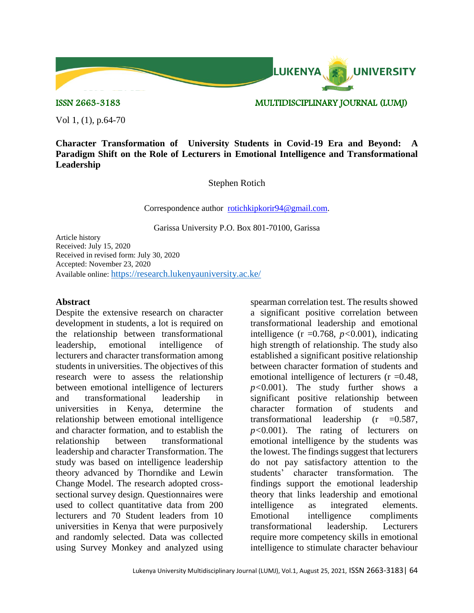

ISSN 2663-3183 MULTIDISCIPLINARY JOURNAL (LUMJ)

Vol 1, (1), p.64-70

**Character Transformation of University Students in Covid-19 Era and Beyond: A Paradigm Shift on the Role of Lecturers in Emotional Intelligence and Transformational Leadership**

Stephen Rotich

Correspondence author [rotichkipkorir94@gmail.com.](mailto:rotichkipkorir94@gmail.com)

Garissa University P.O. Box 801-70100, Garissa

Article history Received: July 15, 2020 Received in revised form: July 30, 2020 Accepted: November 23, 2020 Available online: <https://research.lukenyauniversity.ac.ke/>

### **Abstract**

Despite the extensive research on character development in students, a lot is required on the relationship between transformational leadership, emotional intelligence of lecturers and character transformation among students in universities. The objectives of this research were to assess the relationship between emotional intelligence of lecturers and transformational leadership in universities in Kenya, determine the relationship between emotional intelligence and character formation, and to establish the relationship between transformational leadership and character Transformation. The study was based on intelligence leadership theory advanced by Thorndike and Lewin Change Model. The research adopted crosssectional survey design. Questionnaires were used to collect quantitative data from 200 lecturers and 70 Student leaders from 10 universities in Kenya that were purposively and randomly selected. Data was collected using Survey Monkey and analyzed using

spearman correlation test. The results showed a significant positive correlation between transformational leadership and emotional intelligence  $(r = 0.768, p < 0.001)$ , indicating high strength of relationship. The study also established a significant positive relationship between character formation of students and emotional intelligence of lecturers  $(r = 0.48$ , *p<*0.001). The study further shows a significant positive relationship between character formation of students and transformational leadership  $(r = 0.587,$ *p<*0.001). The rating of lecturers on emotional intelligence by the students was the lowest. The findings suggest that lecturers do not pay satisfactory attention to the students' character transformation. The findings support the emotional leadership theory that links leadership and emotional intelligence as integrated elements. Emotional intelligence compliments transformational leadership. Lecturers require more competency skills in emotional intelligence to stimulate character behaviour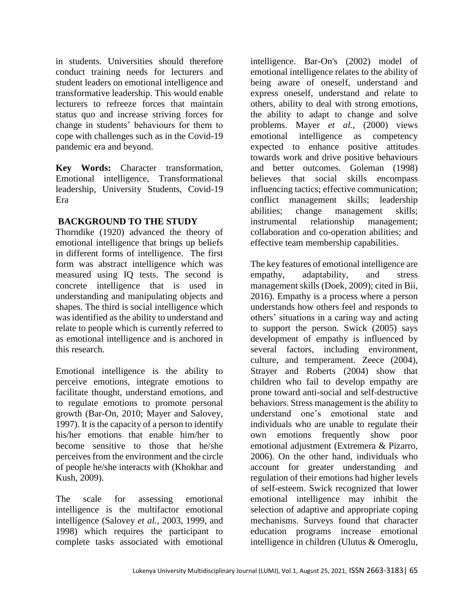in students. Universities should therefore conduct training needs for lecturers and student leaders on emotional intelligence and transformative leadership. This would enable lecturers to refreeze forces that maintain status quo and increase striving forces for change in students' behaviours for them to cope with challenges such as in the Covid-19 pandemic era and beyond.

**Key Words:** Character transformation, Emotional intelligence, Transformational leadership, University Students, Covid-19 Era

# **BACKGROUND TO THE STUDY**

Thorndike (1920) advanced the theory of emotional intelligence that brings up beliefs in different forms of intelligence. The first form was abstract intelligence which was measured using IQ tests. The second is concrete intelligence that is used in understanding and manipulating objects and shapes. The third is social intelligence which was identified as the ability to understand and relate to people which is currently referred to as emotional intelligence and is anchored in this research.

Emotional intelligence is the ability to perceive emotions, integrate emotions to facilitate thought, understand emotions, and to regulate emotions to promote personal growth (Bar-On, 2010; Mayer and Salovey, 1997). It is the capacity of a person to identify his/her emotions that enable him/her to become sensitive to those that he/she perceives from the environment and the circle of people he/she interacts with (Khokhar and Kush, 2009).

The scale for assessing emotional intelligence is the multifactor emotional intelligence (Salovey *et al.,* 2003, 1999, and 1998) which requires the participant to complete tasks associated with emotional

intelligence. Bar-On's (2002) model of emotional intelligence relates to the ability of being aware of oneself, understand and express oneself, understand and relate to others, ability to deal with strong emotions, the ability to adapt to change and solve problems. Mayer *et al.,* (2000) views emotional intelligence as competency expected to enhance positive attitudes towards work and drive positive behaviours and better outcomes. Goleman (1998) believes that social skills encompass influencing tactics; effective communication; conflict management skills; leadership abilities; change management skills; instrumental relationship management; collaboration and co-operation abilities; and effective team membership capabilities.

The key features of emotional intelligence are empathy, adaptability, and stress management skills (Doek, 2009); cited in Bii, 2016). Empathy is a process where a person understands how others feel and responds to others' situations in a caring way and acting to support the person. Swick (2005) says development of empathy is influenced by several factors, including environment, culture, and temperament. Zeece (2004), Strayer and Roberts (2004) show that children who fail to develop empathy are prone toward anti-social and self-destructive behaviors. Stress management is the ability to understand one's emotional state and individuals who are unable to regulate their own emotions frequently show poor emotional adjustment (Extremera & Pizarro, 2006). On the other hand, individuals who account for greater understanding and regulation of their emotions had higher levels of self-esteem. Swick recognized that lower emotional intelligence may inhibit the selection of adaptive and appropriate coping mechanisms. Surveys found that character education programs increase emotional intelligence in children (Ulutus & Omeroglu,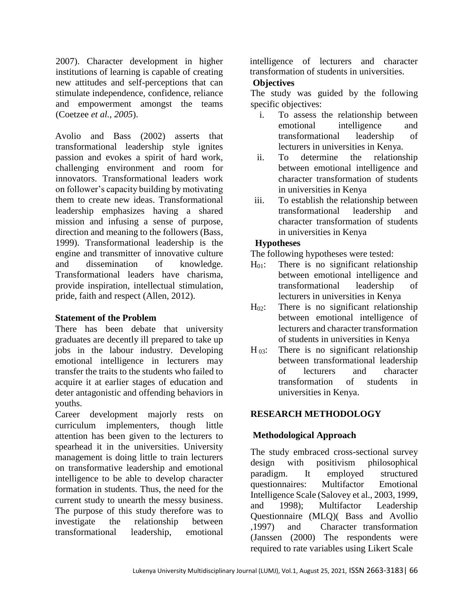2007). Character development in higher institutions of learning is capable of creating new attitudes and self-perceptions that can stimulate independence, confidence, reliance and empowerment amongst the teams (Coetzee *et al., 2005*).

Avolio and Bass (2002) asserts that transformational leadership style ignites passion and evokes a spirit of hard work, challenging environment and room for innovators. Transformational leaders work on follower's capacity building by motivating them to create new ideas. Transformational leadership emphasizes having a shared mission and infusing a sense of purpose, direction and meaning to the followers [\(Bass,](https://mail-attachment.googleusercontent.com/attachment/u/0/?view=att&th=14c4c4cda35e3f41&attid=0.1&disp=vah&safe=1&zw&saduie=AG9B_P8LZJkIe9CI5TGcNtnQWu1b&sadet=1427229768272&sadat=ANGjdJ_UF3PYShM10jk4xRdmXqB90Wkj0xtSFbqH17chNwILP9uBlOgg6rj_d5o&sads=6_Q99ax8LQN1fmDRHzBlwg-TEfw#0.1_9)  [1999\)](https://mail-attachment.googleusercontent.com/attachment/u/0/?view=att&th=14c4c4cda35e3f41&attid=0.1&disp=vah&safe=1&zw&saduie=AG9B_P8LZJkIe9CI5TGcNtnQWu1b&sadet=1427229768272&sadat=ANGjdJ_UF3PYShM10jk4xRdmXqB90Wkj0xtSFbqH17chNwILP9uBlOgg6rj_d5o&sads=6_Q99ax8LQN1fmDRHzBlwg-TEfw#0.1_9). Transformational leadership is the engine and transmitter of innovative culture and dissemination of knowledge. Transformational leaders have charisma, provide inspiration, intellectual stimulation, pride, faith and respect (Allen, 2012).

### **Statement of the Problem**

There has been debate that university graduates are decently ill prepared to take up jobs in the labour industry. Developing emotional intelligence in lecturers may transfer the traits to the students who failed to acquire it at earlier stages of education and deter antagonistic and offending behaviors in youths.

Career development majorly rests on curriculum implementers, though little attention has been given to the lecturers to spearhead it in the universities. University management is doing little to train lecturers on transformative leadership and emotional intelligence to be able to develop character formation in students. Thus, the need for the current study to unearth the messy business. The purpose of this study therefore was to investigate the relationship between transformational leadership, emotional

intelligence of lecturers and character transformation of students in universities.

## **Objectives**

The study was guided by the following specific objectives:

- i. To assess the relationship between emotional intelligence and transformational leadership of lecturers in universities in Kenya.
- ii. To determine the relationship between emotional intelligence and character transformation of students in universities in Kenya
- iii. To establish the relationship between transformational leadership and character transformation of students in universities in Kenya

# **Hypotheses**

The following hypotheses were tested:

- $H_{01}$ : There is no significant relationship between emotional intelligence and transformational leadership of lecturers in universities in Kenya
- $H_{02}$ : There is no significant relationship between emotional intelligence of lecturers and character transformation of students in universities in Kenya
- $H_{03}$ : There is no significant relationship between transformational leadership of lecturers and character transformation of students in universities in Kenya.

# **RESEARCH METHODOLOGY**

# **Methodological Approach**

The study embraced cross-sectional survey design with positivism philosophical paradigm. It employed structured questionnaires: Multifactor Emotional Intelligence Scale (Salovey et al., 2003, 1999, and 1998); Multifactor Leadership Questionnaire (MLQ)( Bass and Avollio ,1997) and Character transformation (Janssen (2000) The respondents were required to rate variables using Likert Scale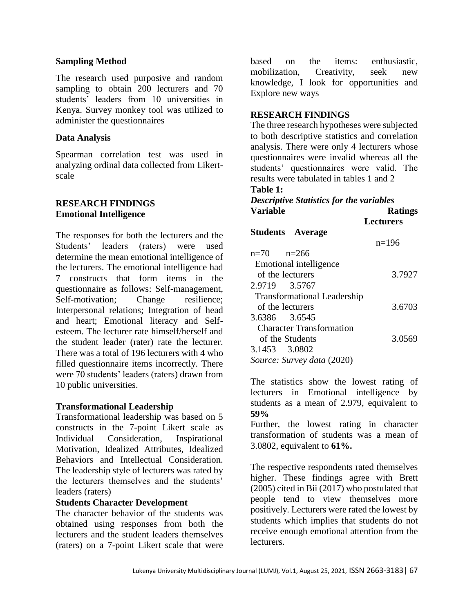#### **Sampling Method**

The research used purposive and random sampling to obtain 200 lecturers and 70 students' leaders from 10 universities in Kenya. Survey monkey tool was utilized to administer the questionnaires

#### **Data Analysis**

Spearman correlation test was used in analyzing ordinal data collected from Likertscale

### **RESEARCH FINDINGS Emotional Intelligence**

The responses for both the lecturers and the Students' leaders (raters) were used determine the mean emotional intelligence of the lecturers. The emotional intelligence had 7 constructs that form items in the questionnaire as follows: Self-management, Self-motivation: Change resilience: Interpersonal relations; Integration of head and heart; Emotional literacy and Selfesteem. The lecturer rate himself/herself and the student leader (rater) rate the lecturer. There was a total of 196 lecturers with 4 who filled questionnaire items incorrectly. There were 70 students' leaders (raters) drawn from 10 public universities.

### **Transformational Leadership**

Transformational leadership was based on 5 constructs in the 7-point Likert scale as Individual Consideration, Inspirational Motivation, Idealized Attributes, Idealized Behaviors and Intellectual Consideration. The leadership style of lecturers was rated by the lecturers themselves and the students' leaders (raters)

### **Students Character Development**

The character behavior of the students was obtained using responses from both the lecturers and the student leaders themselves (raters) on a 7-point Likert scale that were

based on the items: enthusiastic, mobilization, Creativity, seek new knowledge, I look for opportunities and Explore new ways

### **RESEARCH FINDINGS**

The three research hypotheses were subjected to both descriptive statistics and correlation analysis. There were only 4 lecturers whose questionnaires were invalid whereas all the students' questionnaires were valid. The results were tabulated in tables 1 and 2

#### **Table 1:**

## *Descriptive Statistics for the variables* **Variable Ratings Lecturers Students Average** n=196  $n=70$   $n=266$  Emotional intelligence of the lecturers 3.7927 2.9719 3.5767 Transformational Leadership of the lecturers 3.6703 3.6386 3.6545 Character Transformation

 of the Students 3.0569 3.1453 3.0802

*Source: Survey data* (2020)

The statistics show the lowest rating of lecturers in Emotional intelligence by students as a mean of 2.979, equivalent to **59%**

Further, the lowest rating in character transformation of students was a mean of 3.0802, equivalent to **61%.**

The respective respondents rated themselves higher. These findings agree with Brett (2005) cited in Bii (2017) who postulated that people tend to view themselves more positively. Lecturers were rated the lowest by students which implies that students do not receive enough emotional attention from the lecturers.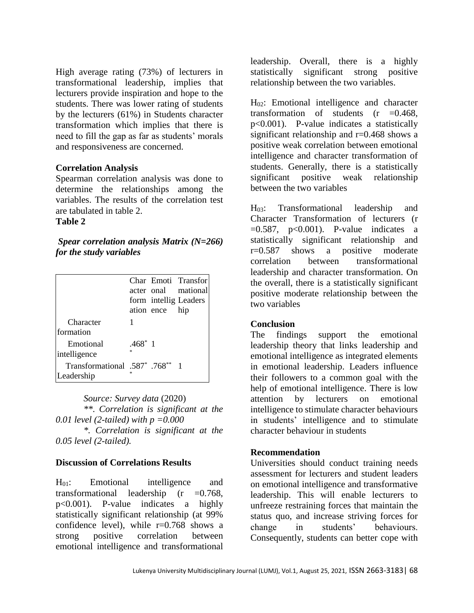High average rating (73%) of lecturers in transformational leadership, implies that lecturers provide inspiration and hope to the students. There was lower rating of students by the lecturers (61%) in Students character transformation which implies that there is need to fill the gap as far as students' morals and responsiveness are concerned.

### **Correlation Analysis**

Spearman correlation analysis was done to determine the relationships among the variables. The results of the correlation test are tabulated in table 2.

## **Table 2**

*Spear correlation analysis Matrix (N=266) for the study variables*

|                                              |                 |            | Char Emoti Transfor<br>acter onal mational |
|----------------------------------------------|-----------------|------------|--------------------------------------------|
|                                              |                 | ation ence | form intellig Leaders<br>hip               |
| Character<br>formation                       |                 |            |                                            |
| Emotional<br>intelligence                    | $.468^*$ 1<br>ż |            |                                            |
| Transformational .587 *.768 **<br>Leadership |                 |            |                                            |

*Source: Survey data* (2020) *\*\*. Correlation is significant at the 0.01 level (2-tailed) with p =0.000*

*\*. Correlation is significant at the 0.05 level (2-tailed).*

### **Discussion of Correlations Results**

H01: Emotional intelligence and transformational leadership (r =0.768, p<0.001). P-value indicates a highly statistically significant relationship (at 99% confidence level), while  $r=0.768$  shows a strong positive correlation between emotional intelligence and transformational

leadership. Overall, there is a highly statistically significant strong positive relationship between the two variables.

H02: Emotional intelligence and character transformation of students  $(r = 0.468,$ p<0.001). P-value indicates a statistically significant relationship and r=0.468 shows a positive weak correlation between emotional intelligence and character transformation of students. Generally, there is a statistically significant positive weak relationship between the two variables

H03: Transformational leadership and Character Transformation of lecturers (r  $=0.587$ ,  $p<0.001$ ). P-value indicates a statistically significant relationship and r=0.587 shows a positive moderate correlation between transformational leadership and character transformation. On the overall, there is a statistically significant positive moderate relationship between the two variables

### **Conclusion**

The findings support the emotional leadership theory that links leadership and emotional intelligence as integrated elements in emotional leadership. Leaders influence their followers to a common goal with the help of emotional intelligence. There is low attention by lecturers on emotional intelligence to stimulate character behaviours in students' intelligence and to stimulate character behaviour in students

#### **Recommendation**

Universities should conduct training needs assessment for lecturers and student leaders on emotional intelligence and transformative leadership. This will enable lecturers to unfreeze restraining forces that maintain the status quo, and increase striving forces for change in students' behaviours. Consequently, students can better cope with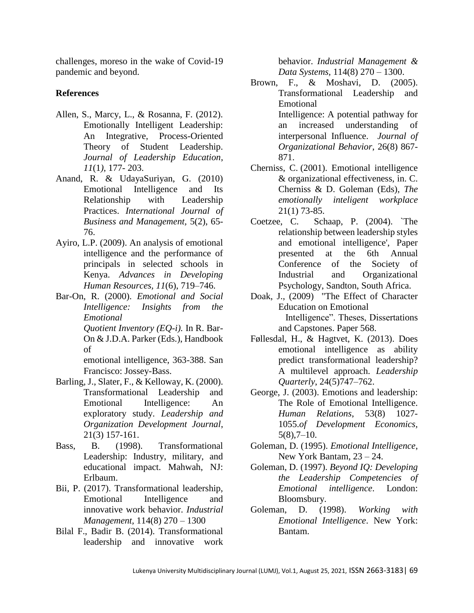challenges, moreso in the wake of Covid-19 pandemic and beyond.

## **References**

- Allen, S., Marcy, L., & Rosanna, F. (2012). Emotionally Intelligent Leadership: An Integrative, Process-Oriented Theory of Student Leadership. *Journal of Leadership Education*, *11*(1*),* 177- 203.
- Anand, R. & UdayaSuriyan, G. (2010) Emotional Intelligence and Its Relationship with Leadership Practices. *International Journal of Business and Management,* 5(2), 65- 76.
- Ayiro, L.P. (2009). An analysis of emotional intelligence and the performance of principals in selected schools in Kenya. *Advances in Developing Human Resources, 11*(6), 719–746.
- Bar-On, R. (2000). *Emotional and Social Intelligence: Insights from the Emotional Quotient Inventory (EQ-i).* In R. Bar-On & J.D.A. Parker (Eds.), Handbook of

 emotional intelligence, 363-388. San Francisco: Jossey-Bass.

- Barling, J., Slater, F., & Kelloway, K. (2000). Transformational Leadership and Emotional Intelligence: An exploratory study. *Leadership and Organization Development Journal*, 21(3) 157-161.
- Bass, B. (1998). Transformational Leadership: Industry, military, and educational impact. Mahwah, NJ: Erlbaum.
- Bii, P. (2017). Transformational leadership, Emotional Intelligence and innovative work behavior. *Industrial Management,* 114(8) 270 – 1300
- Bilal F., Badir B. (2014). Transformational leadership and innovative work

behavior. *Industrial Management & Data Systems,* 114(8) 270 – 1300.

- Brown, F., & Moshavi, D. (2005). Transformational Leadership and Emotional Intelligence: A potential pathway for an increased understanding of interpersonal Influence. *Journal of Organizational Behavior*, 26(8) 867- 871.
- Cherniss, C. (2001). Emotional intelligence & organizational effectiveness, in. C. Cherniss & D. Goleman (Eds), *The emotionally inteligent workplace* 21(1) 73-85.
- Coetzee, C. Schaap, P. (2004). `The relationship between leadership styles and emotional intelligence', Paper presented at the 6th Annual Conference of the Society of Industrial and Organizational Psychology, Sandton, South Africa.
- Doak, J., (2009) "The Effect of Character Education on Emotional Intelligence". Theses, Dissertations and Capstones. Paper 568.
- Føllesdal, H., & Hagtvet, K. (2013). Does emotional intelligence as ability predict transformational leadership? A multilevel approach. *Leadership Quarterly*, 24(5)747–762.
- George, J. (2003). Emotions and leadership: The Role of Emotional Intelligence. *Human Relations*, 53(8) 1027- 1055.*of Development Economics,*  $5(8)$ ,  $7-10$ .
- Goleman, D. (1995). *Emotional Intelligence*, New York Bantam, 23 – 24.
- Goleman, D. (1997). *Beyond IQ: Developing the Leadership Competencies of Emotional intelligence*. London: Bloomsbury.
- Goleman, D. (1998). *Working with Emotional Intelligence*. New York: Bantam.